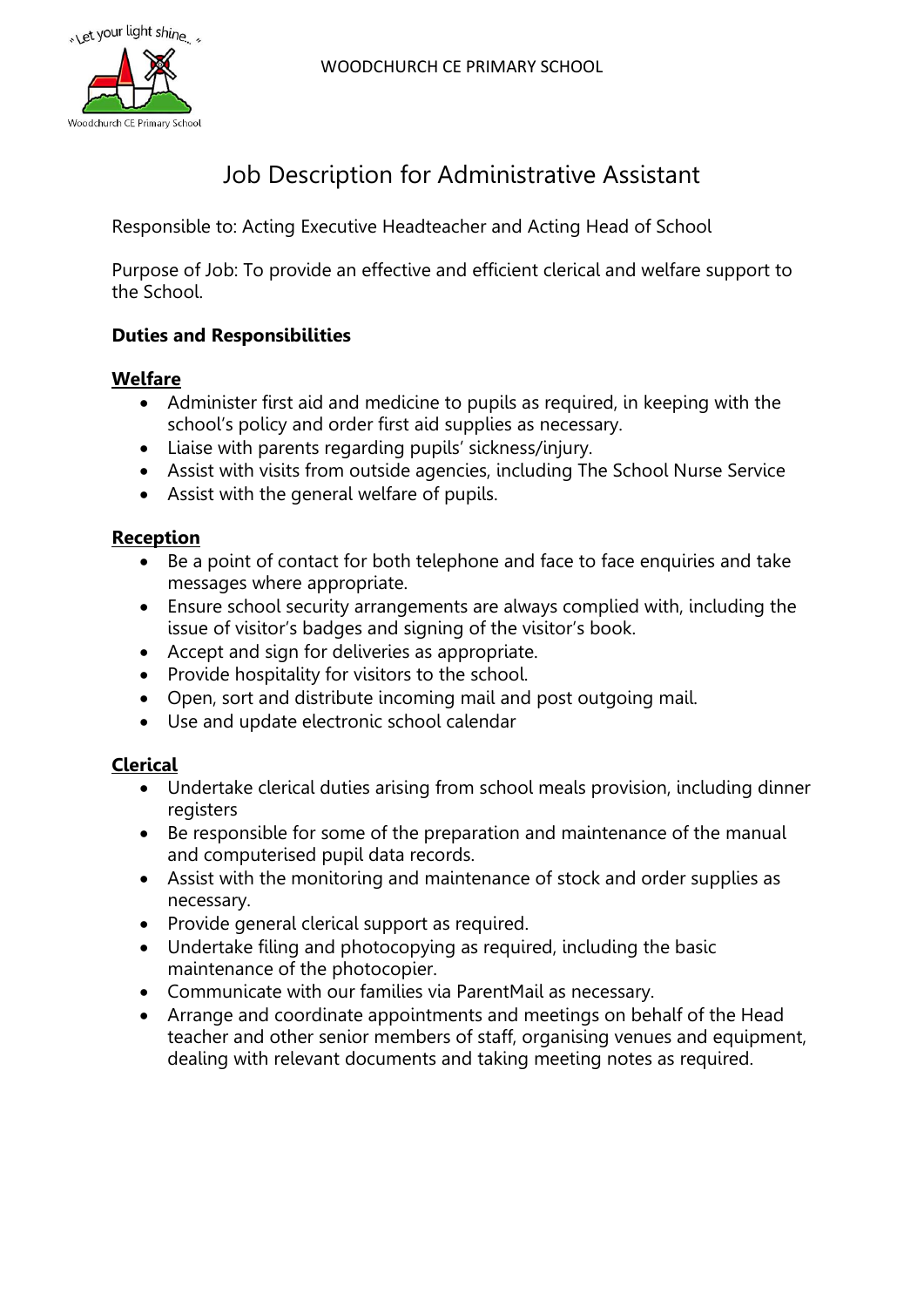WOODCHURCH CE PRIMARY SCHOOL



# Job Description for Administrative Assistant

Responsible to: Acting Executive Headteacher and Acting Head of School

Purpose of Job: To provide an effective and efficient clerical and welfare support to the School.

# **Duties and Responsibilities**

## **Welfare**

- Administer first aid and medicine to pupils as required, in keeping with the school's policy and order first aid supplies as necessary.
- Liaise with parents regarding pupils' sickness/injury.
- Assist with visits from outside agencies, including The School Nurse Service
- Assist with the general welfare of pupils.

## **Reception**

- Be a point of contact for both telephone and face to face enquiries and take messages where appropriate.
- Ensure school security arrangements are always complied with, including the issue of visitor's badges and signing of the visitor's book.
- Accept and sign for deliveries as appropriate.
- Provide hospitality for visitors to the school.
- Open, sort and distribute incoming mail and post outgoing mail.
- Use and update electronic school calendar

#### **Clerical**

- Undertake clerical duties arising from school meals provision, including dinner registers
- Be responsible for some of the preparation and maintenance of the manual and computerised pupil data records.
- Assist with the monitoring and maintenance of stock and order supplies as necessary.
- Provide general clerical support as required.
- Undertake filing and photocopying as required, including the basic maintenance of the photocopier.
- Communicate with our families via ParentMail as necessary.
- Arrange and coordinate appointments and meetings on behalf of the Head teacher and other senior members of staff, organising venues and equipment, dealing with relevant documents and taking meeting notes as required.